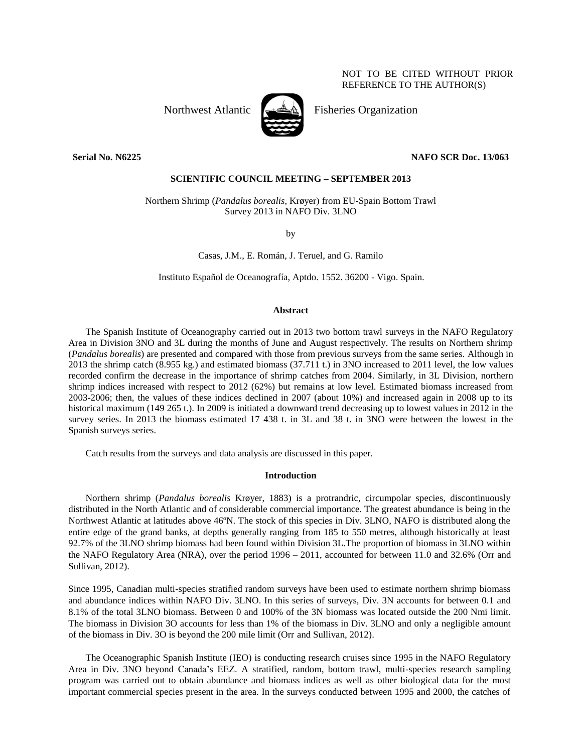NOT TO BE CITED WITHOUT PRIOR REFERENCE TO THE AUTHOR(S)



Northwest Atlantic  $\leftarrow$   $\mathbb{A}$  Fisheries Organization

# **Serial No. N6225 NAFO SCR Doc. 13/063**

# **SCIENTIFIC COUNCIL MEETING – SEPTEMBER 2013**

Northern Shrimp (*Pandalus borealis*, Krøyer) from EU-Spain Bottom Trawl Survey 2013 in NAFO Div. 3LNO

by

Casas, J.M., E. Román, J. Teruel, and G. Ramilo

Instituto Español de Oceanografía, Aptdo. 1552. 36200 - Vigo. Spain.

### **Abstract**

The Spanish Institute of Oceanography carried out in 2013 two bottom trawl surveys in the NAFO Regulatory Area in Division 3NO and 3L during the months of June and August respectively. The results on Northern shrimp (*Pandalus borealis*) are presented and compared with those from previous surveys from the same series. Although in 2013 the shrimp catch (8.955 kg.) and estimated biomass (37.711 t.) in 3NO increased to 2011 level, the low values recorded confirm the decrease in the importance of shrimp catches from 2004. Similarly, in 3L Division, northern shrimp indices increased with respect to 2012 (62%) but remains at low level. Estimated biomass increased from 2003-2006; then, the values of these indices declined in 2007 (about 10%) and increased again in 2008 up to its historical maximum (149 265 t.). In 2009 is initiated a downward trend decreasing up to lowest values in 2012 in the survey series. In 2013 the biomass estimated 17 438 t. in 3L and 38 t. in 3NO were between the lowest in the Spanish surveys series.

Catch results from the surveys and data analysis are discussed in this paper.

#### **Introduction**

Northern shrimp (*Pandalus borealis* Krøyer, 1883) is a protrandric, circumpolar species, discontinuously distributed in the North Atlantic and of considerable commercial importance. The greatest abundance is being in the Northwest Atlantic at latitudes above 46ºN. The stock of this species in Div. 3LNO, NAFO is distributed along the entire edge of the grand banks, at depths generally ranging from 185 to 550 metres, although historically at least 92.7% of the 3LNO shrimp biomass had been found within Division 3L.The proportion of biomass in 3LNO within the NAFO Regulatory Area (NRA), over the period 1996 – 2011, accounted for between 11.0 and 32.6% (Orr and Sullivan, 2012).

Since 1995, Canadian multi-species stratified random surveys have been used to estimate northern shrimp biomass and abundance indices within NAFO Div. 3LNO. In this series of surveys, Div. 3N accounts for between 0.1 and 8.1% of the total 3LNO biomass. Between 0 and 100% of the 3N biomass was located outside the 200 Nmi limit. The biomass in Division 3O accounts for less than 1% of the biomass in Div. 3LNO and only a negligible amount of the biomass in Div. 3O is beyond the 200 mile limit (Orr and Sullivan, 2012).

The Oceanographic Spanish Institute (IEO) is conducting research cruises since 1995 in the NAFO Regulatory Area in Div. 3NO beyond Canada's EEZ. A stratified, random, bottom trawl, multi-species research sampling program was carried out to obtain abundance and biomass indices as well as other biological data for the most important commercial species present in the area. In the surveys conducted between 1995 and 2000, the catches of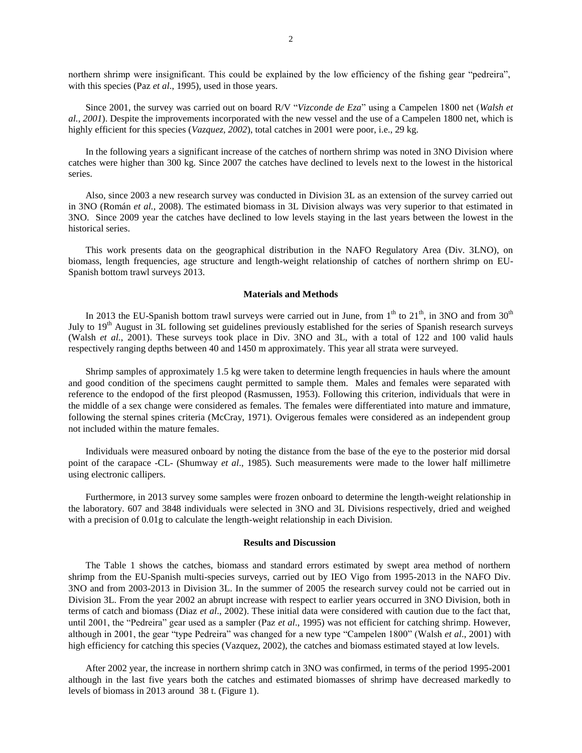northern shrimp were insignificant. This could be explained by the low efficiency of the fishing gear "pedreira", with this species (Paz *et al*., 1995), used in those years.

Since 2001, the survey was carried out on board R/V "*Vizconde de Eza*" using a Campelen 1800 net (*Walsh et al., 2001*). Despite the improvements incorporated with the new vessel and the use of a Campelen 1800 net, which is highly efficient for this species (*Vazquez, 2002*), total catches in 2001 were poor, i.e., 29 kg.

In the following years a significant increase of the catches of northern shrimp was noted in 3NO Division where catches were higher than 300 kg. Since 2007 the catches have declined to levels next to the lowest in the historical series.

Also, since 2003 a new research survey was conducted in Division 3L as an extension of the survey carried out in 3NO (Román *et al.*, 2008). The estimated biomass in 3L Division always was very superior to that estimated in 3NO. Since 2009 year the catches have declined to low levels staying in the last years between the lowest in the historical series.

This work presents data on the geographical distribution in the NAFO Regulatory Area (Div. 3LNO), on biomass, length frequencies, age structure and length-weight relationship of catches of northern shrimp on EU-Spanish bottom trawl surveys 2013.

### **Materials and Methods**

In 2013 the EU-Spanish bottom trawl surveys were carried out in June, from  $1<sup>th</sup>$  to  $21<sup>th</sup>$ , in 3NO and from  $30<sup>th</sup>$ July to 19<sup>th</sup> August in 3L following set guidelines previously established for the series of Spanish research surveys (Walsh *et al.*, 2001). These surveys took place in Div. 3NO and 3L, with a total of 122 and 100 valid hauls respectively ranging depths between 40 and 1450 m approximately. This year all strata were surveyed.

Shrimp samples of approximately 1.5 kg were taken to determine length frequencies in hauls where the amount and good condition of the specimens caught permitted to sample them. Males and females were separated with reference to the endopod of the first pleopod (Rasmussen, 1953). Following this criterion, individuals that were in the middle of a sex change were considered as females. The females were differentiated into mature and immature, following the sternal spines criteria (McCray, 1971). Ovigerous females were considered as an independent group not included within the mature females.

Individuals were measured onboard by noting the distance from the base of the eye to the posterior mid dorsal point of the carapace -CL- (Shumway *et al*., 1985). Such measurements were made to the lower half millimetre using electronic callipers.

Furthermore, in 2013 survey some samples were frozen onboard to determine the length-weight relationship in the laboratory. 607 and 3848 individuals were selected in 3NO and 3L Divisions respectively, dried and weighed with a precision of 0.01g to calculate the length-weight relationship in each Division.

## **Results and Discussion**

The Table 1 shows the catches, biomass and standard errors estimated by swept area method of northern shrimp from the EU-Spanish multi-species surveys, carried out by IEO Vigo from 1995-2013 in the NAFO Div. 3NO and from 2003-2013 in Division 3L. In the summer of 2005 the research survey could not be carried out in Division 3L. From the year 2002 an abrupt increase with respect to earlier years occurred in 3NO Division, both in terms of catch and biomass (Diaz *et al*., 2002). These initial data were considered with caution due to the fact that, until 2001, the "Pedreira" gear used as a sampler (Paz *et al*., 1995) was not efficient for catching shrimp. However, although in 2001, the gear "type Pedreira" was changed for a new type "Campelen 1800" (Walsh *et al*., 2001) with high efficiency for catching this species (Vazquez, 2002), the catches and biomass estimated stayed at low levels.

After 2002 year, the increase in northern shrimp catch in 3NO was confirmed, in terms of the period 1995-2001 although in the last five years both the catches and estimated biomasses of shrimp have decreased markedly to levels of biomass in 2013 around 38 t. (Figure 1).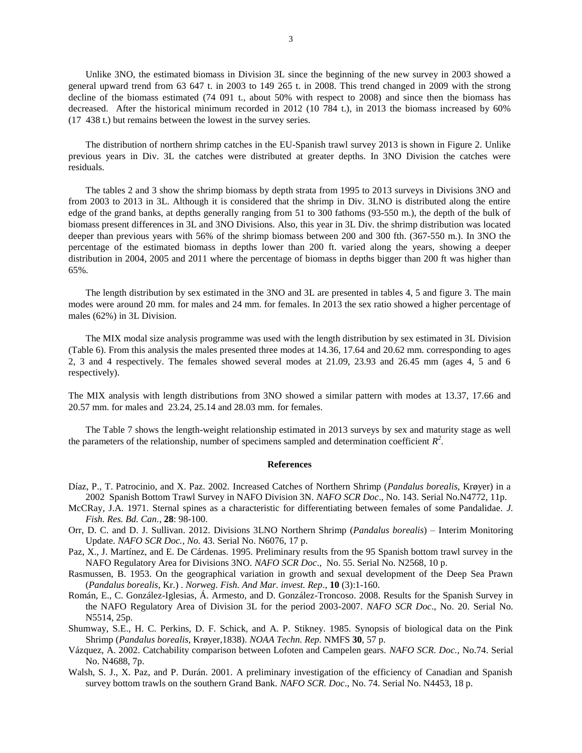Unlike 3NO, the estimated biomass in Division 3L since the beginning of the new survey in 2003 showed a general upward trend from 63 647 t. in 2003 to 149 265 t. in 2008. This trend changed in 2009 with the strong decline of the biomass estimated (74 091 t., about 50% with respect to 2008) and since then the biomass has decreased. After the historical minimum recorded in 2012 (10 784 t.), in 2013 the biomass increased by 60% (17\_438 t.) but remains between the lowest in the survey series.

The distribution of northern shrimp catches in the EU-Spanish trawl survey 2013 is shown in Figure 2. Unlike previous years in Div. 3L the catches were distributed at greater depths. In 3NO Division the catches were residuals.

The tables 2 and 3 show the shrimp biomass by depth strata from 1995 to 2013 surveys in Divisions 3NO and from 2003 to 2013 in 3L. Although it is considered that the shrimp in Div. 3LNO is distributed along the entire edge of the grand banks, at depths generally ranging from 51 to 300 fathoms (93-550 m.), the depth of the bulk of biomass present differences in 3L and 3NO Divisions. Also, this year in 3L Div. the shrimp distribution was located deeper than previous years with 56% of the shrimp biomass between 200 and 300 fth. (367-550 m.). In 3NO the percentage of the estimated biomass in depths lower than 200 ft. varied along the years, showing a deeper distribution in 2004, 2005 and 2011 where the percentage of biomass in depths bigger than 200 ft was higher than 65%.

The length distribution by sex estimated in the 3NO and 3L are presented in tables 4, 5 and figure 3. The main modes were around 20 mm. for males and 24 mm. for females. In 2013 the sex ratio showed a higher percentage of males (62%) in 3L Division.

The MIX modal size analysis programme was used with the length distribution by sex estimated in 3L Division (Table 6). From this analysis the males presented three modes at 14.36, 17.64 and 20.62 mm. corresponding to ages 2, 3 and 4 respectively. The females showed several modes at 21.09, 23.93 and 26.45 mm (ages 4, 5 and 6 respectively).

The MIX analysis with length distributions from 3NO showed a similar pattern with modes at 13.37, 17.66 and 20.57 mm. for males and 23.24, 25.14 and 28.03 mm. for females.

The Table 7 shows the length-weight relationship estimated in 2013 surveys by sex and maturity stage as well the parameters of the relationship, number of specimens sampled and determination coefficient  $R^2$ .

### **References**

- Díaz, P., T. Patrocinio, and X. Paz. 2002. Increased Catches of Northern Shrimp (*Pandalus borealis*, Krøyer) in a 2002 Spanish Bottom Trawl Survey in NAFO Division 3N. *NAFO SCR Doc*., No. 143. Serial No.N4772, 11p.
- McCRay, J.A. 1971. Sternal spines as a characteristic for differentiating between females of some Pandalidae. *J. Fish. Res. Bd. Can.*, **28**: 98-100.
- Orr, D. C. and D. J. Sullivan. 2012. Divisions 3LNO Northern Shrimp (*Pandalus borealis*) Interim Monitoring Update. *NAFO SCR Doc., No.* 43. Serial No. N6076, 17 p.
- Paz, X., J. Martínez, and E. De Cárdenas. 1995. Preliminary results from the 95 Spanish bottom trawl survey in the NAFO Regulatory Area for Divisions 3NO. *NAFO SCR Doc*., No. 55. Serial No. N2568, 10 p.
- Rasmussen, B. 1953. On the geographical variation in growth and sexual development of the Deep Sea Prawn (*Pandalus borealis*, Kr.) . *Norweg. Fish. And Mar. invest. Rep*., **10** (3):1-160.
- Román, E., C. González-Iglesias, Á. Armesto, and D. González-Troncoso. 2008. Results for the Spanish Survey in the NAFO Regulatory Area of Division 3L for the period 2003-2007. *NAFO SCR Doc*., No. 20. Serial No. N5514, 25p.
- Shumway, S.E., H. C. Perkins, D. F. Schick, and A. P. Stikney. 1985. Synopsis of biological data on the Pink Shrimp (*Pandalus borealis*, Krøyer,1838). *NOAA Techn. Rep.* NMFS **30**, 57 p.
- Vázquez, A. 2002. Catchability comparison between Lofoten and Campelen gears. *NAFO SCR. Doc.,* No.74. Serial No. N4688, 7p.
- Walsh, S. J., X. Paz, and P. Durán. 2001. A preliminary investigation of the efficiency of Canadian and Spanish survey bottom trawls on the southern Grand Bank. *NAFO SCR. Doc*., No. 74. Serial No. N4453, 18 p.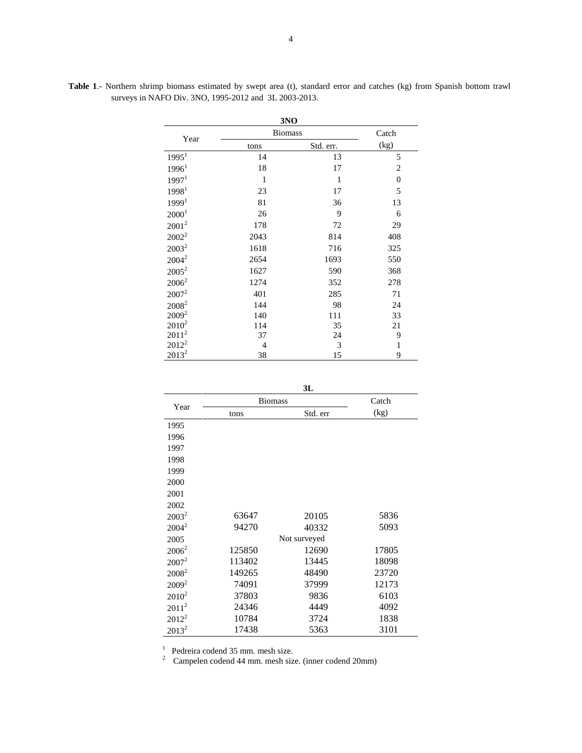|                   |                | 3NO       |                |
|-------------------|----------------|-----------|----------------|
|                   | <b>Biomass</b> |           | Catch          |
| Year              | tons           | Std. err. | (kg)           |
| 1995 <sup>1</sup> | 14             | 13        | 5              |
| 1996 <sup>1</sup> | 18             | 17        | $\overline{2}$ |
| 1997 <sup>1</sup> | 1              | 1         | $\mathbf{0}$   |
| 19981             | 23             | 17        | 5              |
| 1999 <sup>1</sup> | 81             | 36        | 13             |
| 2000 <sup>1</sup> | 26             | 9         | 6              |
| $2001^2$          | 178            | 72        | 29             |
| $2002^2$          | 2043           | 814       | 408            |
| $2003^2$          | 1618           | 716       | 325            |
| $2004^2$          | 2654           | 1693      | 550            |
| $2005^2$          | 1627           | 590       | 368            |
| $2006^2$          | 1274           | 352       | 278            |
| $2007^2$          | 401            | 285       | 71             |
| 2008 <sup>2</sup> | 144            | 98        | 24             |
| $2009^2$          | 140            | 111       | 33             |
| $2010^2$          | 114            | 35        | 21             |
| $2011^2$          | 37             | 24        | 9              |
| $2012^2$          | 4              | 3         | $\mathbf{1}$   |
| $2013^2$          | 38             | 15        | 9              |

**Table 1**.- Northern shrimp biomass estimated by swept area (t), standard error and catches (kg) from Spanish bottom trawl surveys in NAFO Div. 3NO, 1995-2012 and 3L 2003-2013.

**3L**

| Year     | <b>Biomass</b> | Catch        |       |
|----------|----------------|--------------|-------|
|          | tons           | Std. err     | (kg)  |
| 1995     |                |              |       |
| 1996     |                |              |       |
| 1997     |                |              |       |
| 1998     |                |              |       |
| 1999     |                |              |       |
| 2000     |                |              |       |
| 2001     |                |              |       |
| 2002     |                |              |       |
| $2003^2$ | 63647          | 20105        | 5836  |
| $2004^2$ | 94270          | 40332        | 5093  |
| 2005     |                | Not surveyed |       |
| $2006^2$ | 125850         | 12690        | 17805 |
| $2007^2$ | 113402         | 13445        | 18098 |
| $2008^2$ | 149265         | 48490        | 23720 |
| $2009^2$ | 74091          | 37999        | 12173 |
| $2010^2$ | 37803          | 9836         | 6103  |
| $2011^2$ | 24346          | 4449         | 4092  |
| $2012^2$ | 10784          | 3724         | 1838  |
| $2013^2$ | 17438          | 5363         | 3101  |

<sup>1</sup> Pedreira codend 35 mm. mesh size.<br><sup>2</sup> Campelen codend 44 mm. mesh size. (inner codend 20mm)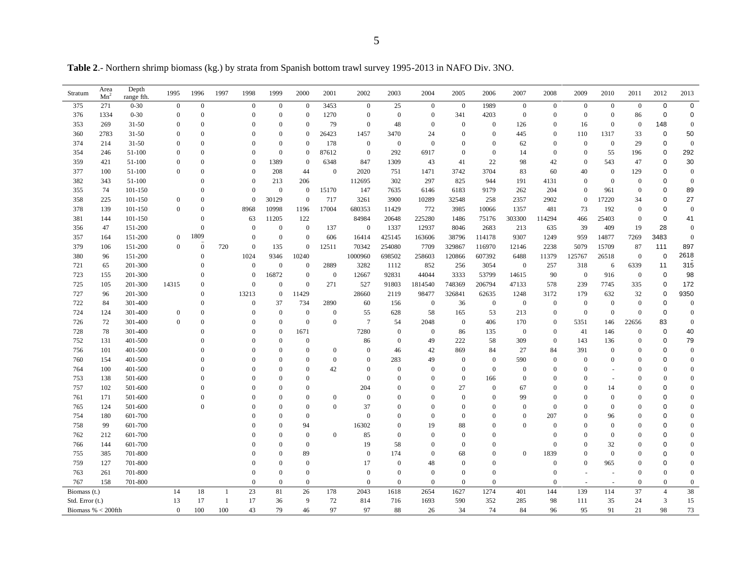**Table 2**.- Northern shrimp biomass (kg.) by strata from Spanish bottom trawl survey 1995-2013 in NAFO Div. 3NO.

| Stratum              | Area<br>Mn <sup>2</sup> | Depth<br>range fth. | 1995           | 1996             | 1997 | 1998             | 1999             | 2000             | 2001             | 2002             | 2003             | 2004           | 2005             | 2006             | 2007             | 2008         | 2009             | 2010             | 2011             | 2012                    | 2013             |
|----------------------|-------------------------|---------------------|----------------|------------------|------|------------------|------------------|------------------|------------------|------------------|------------------|----------------|------------------|------------------|------------------|--------------|------------------|------------------|------------------|-------------------------|------------------|
| 375                  | 271                     | $0 - 30$            | $\mathbf{0}$   | $\boldsymbol{0}$ |      | $\mathbf{0}$     | $\boldsymbol{0}$ | $\mathbf{0}$     | 3453             | $\mathbf{0}$     | 25               | $\overline{0}$ | $\mathbf{0}$     | 1989             | $\mathbf{0}$     | $\mathbf{0}$ | $\mathbf{0}$     | $\mathbf{0}$     | $\overline{0}$   | $\mathbf 0$             | $\mathbf 0$      |
| 376                  | 1334                    | $0 - 30$            | $\overline{0}$ | $\theta$         |      | $\Omega$         | $\theta$         | $\theta$         | 1270             | $\mathbf{0}$     | $\mathbf{0}$     | $\overline{0}$ | 341              | 4203             | $\boldsymbol{0}$ | $\theta$     | $\mathbf{0}$     | $\mathbf{0}$     | 86               | $\mathbf 0$             | $\mathbf 0$      |
| 353                  | 269                     | $31 - 50$           | $\overline{0}$ | $\Omega$         |      | $\Omega$         | $\mathbf{0}$     | $\theta$         | 79               | $\overline{0}$   | 48               | $\overline{0}$ | $\overline{0}$   | $\mathbf{0}$     | 126              | $\theta$     | 16               | $\theta$         | $\theta$         | 148                     | $\mathbf{0}$     |
| 360                  | 2783                    | $31 - 50$           | $\theta$       | $\Omega$         |      | $\Omega$         | $\theta$         | $\theta$         | 26423            | 1457             | 3470             | 24             | $\mathbf{0}$     | $\boldsymbol{0}$ | 445              | $\bf{0}$     | 110              | 1317             | 33               | $\mathbf 0$             | 50               |
| 374                  | 214                     | $31 - 50$           | $\overline{0}$ | $\theta$         |      | $\theta$         | $\boldsymbol{0}$ | $\theta$         | 178              | $\mathbf{0}$     | $\mathbf{0}$     | $\overline{0}$ | $\Omega$         | $\mathbf{0}$     | 62               | $\mathbf{0}$ | $\mathbf{0}$     | $\boldsymbol{0}$ | 29               | $\mathbf 0$             | $\mathbf{0}$     |
| 354                  | 246                     | 51-100              | $\theta$       | $\Omega$         |      | $\Omega$         | $\mathbf{0}$     | $\mathbf{0}$     | 87612            | $\mathbf{0}$     | 292              | 6917           | $\mathbf{0}$     | $\mathbf{0}$     | 14               | $\theta$     | $\theta$         | 55               | 196              | $\mathbf 0$             | 292              |
| 359                  | 421                     | 51-100              | $\overline{0}$ | $\Omega$         |      | $\Omega$         | 1389             | $\mathbf{0}$     | 6348             | 847              | 1309             | 43             | 41               | 22               | 98               | 42           | $\overline{0}$   | 543              | 47               | $\mathbf 0$             | 30               |
| 377                  | 100                     | 51-100              | $\theta$       | $\Omega$         |      | $\theta$         | 208              | 44               | $\overline{0}$   | 2020             | 751              | 1471           | 3742             | 3704             | 83               | 60           | 40               | $\boldsymbol{0}$ | 129              | $\mathbf 0$             | $\boldsymbol{0}$ |
| 382                  | 343                     | 51-100              |                |                  |      | $\Omega$         | 213              | 206              |                  | 112695           | 302              | 297            | 825              | 944              | 191              | 4131         | $\theta$         | $\boldsymbol{0}$ | $\bf{0}$         | $\mathbf 0$             | $\mathbf{0}$     |
| 355                  | 74                      | 101-150             |                | 0                |      | $\Omega$         | $\mathbf{0}$     | $\mathbf{0}$     | 15170            | 147              | 7635             | 6146           | 6183             | 9179             | 262              | 204          | $\theta$         | 961              | $\overline{0}$   | $\mathbf 0$             | 89               |
| 358                  | 225                     | 101-150             | $\mathbf{0}$   | $\Omega$         |      | $\Omega$         | 30129            | $\overline{0}$   | 717              | 3261             | 3900             | 10289          | 32548            | 258              | 2357             | 2902         | $\theta$         | 17220            | 34               | $\mathbf 0$             | 27               |
| 378                  | 139                     | 101-150             | $\theta$       | $\Omega$         |      | 8968             | 10998            | 1196             | 17004            | 680353           | 11429            | 772            | 3985             | 10066            | 1357             | 481          | 73               | 192              | $\theta$         | $\mathbf 0$             | $\mathbf{0}$     |
| 381                  | 144                     | 101-150             |                | $\Omega$         |      | 63               | 11205            | 122              |                  | 84984            | 20648            | 225280         | 1486             | 75176            | 303300           | 114294       | 466              | 25403            | $\bf{0}$         | $\mathbf 0$             | 41               |
| 356                  | 47                      | 151-200             |                | $\Omega$         |      | $\overline{0}$   | $\mathbf{0}$     | $\mathbf{0}$     | 137              | $\mathbf{0}$     | 1337             | 12937          | 8046             | 2683             | 213              | 635          | 39               | 409              | 19               | 28                      | $\mathbf{0}$     |
| 357                  | 164                     | 151-200             | $\mathbf{0}$   | 1809             |      | $\overline{0}$   | $\mathbf{0}$     | $\mathbf{0}$     | 606              | 16414            | 425145           | 163606         | 38796            | 114178           | 9307             | 1249         | 959              | 14877            | 7269             | 3483                    | $\mathbf{0}$     |
| 379                  | 106                     | 151-200             | $\theta$       | $\theta$         | 720  | $\overline{0}$   | 135              | $\mathbf{0}$     | 12511            | 70342            | 254080           | 7709           | 329867           | 116970           | 12146            | 2238         | 5079             | 15709            | 87               | 111                     | 897              |
| 380                  | 96                      | 151-200             |                | $\Omega$         |      | 1024             | 9346             | 10240            |                  | 1000960          | 698502           | 258603         | 120866           | 607392           | 6488             | 11379        | 125767           | 26518            | $\overline{0}$   | $\pmb{0}$               | 2618             |
| 721                  | 65                      | 201-300             |                | $\theta$         |      | $\overline{0}$   | $\mathbf{0}$     | $\boldsymbol{0}$ | 2889             | 3282             | 1112             | 852            | 256              | 3054             | $\mathbf{0}$     | 257          | 318              | 6                | 6339             | 11                      | 315              |
| 723                  | 155                     | 201-300             |                | $\theta$         |      | $\mathbf{0}$     | 16872            | $\boldsymbol{0}$ | $\mathbf{0}$     | 12667            | 92831            | 44044          | 3333             | 53799            | 14615            | 90           | $\mathbf{0}$     | 916              | $\overline{0}$   | $\mathbf 0$             | 98               |
| 725                  | 105                     | 201-300             | 14315          | $\Omega$         |      | $\theta$         | $\mathbf{0}$     | $\overline{0}$   | 271              | 527              | 91803            | 1814540        | 748369           | 206794           | 47133            | 578          | 239              | 7745             | 335              | $\mathbf 0$             | 172              |
| 727                  | 96                      | 201-300             |                | $\Omega$         |      | 13213            | $\mathbf{0}$     | 11429            |                  | 28660            | 2119             | 98477          | 326841           | 62635            | 1248             | 3172         | 179              | 632              | 32               | $\mathbf 0$             | 9350             |
| 722                  | 84                      | 301-400             |                | $\Omega$         |      | $\boldsymbol{0}$ | 37               | 734              | 2890             | 60               | 156              | $\mathbf{0}$   | 36               | $\mathbf{0}$     | $\boldsymbol{0}$ | $\mathbf{0}$ | $\mathbf{0}$     | $\boldsymbol{0}$ | $\mathbf{0}$     | $\mathbf 0$             | $\mathbf{0}$     |
| 724                  | 124                     | 301-400             | $\mathbf{0}$   | $\theta$         |      | $\Omega$         | $\mathbf{0}$     | $\boldsymbol{0}$ | $\mathbf{0}$     | 55               | 628              | 58             | 165              | 53               | 213              | $\mathbf{0}$ | $\boldsymbol{0}$ | $\boldsymbol{0}$ | $\mathbf{0}$     | $\mathbf 0$             | $\mathbf{0}$     |
| 726                  | 72                      | 301-400             | $\theta$       |                  |      | $\Omega$         | $\theta$         | $\overline{0}$   | $\Omega$         | $7\phantom{.0}$  | 54               | 2048           | $\boldsymbol{0}$ | 406              | 170              | $\mathbf{0}$ | 5351             | 146              | 22656            | 83                      | $\mathbf{0}$     |
| 728                  | 78                      | 301-400             |                |                  |      | $\Omega$         | $\Omega$         | 1671             |                  | 7280             | $\mathbf{0}$     | $\overline{0}$ | 86               | 135              | $\mathbf{0}$     | $\theta$     | 41               | 146              | $\mathbf{0}$     | $\mathbf 0$             | 40               |
| 752                  | 131                     | 401-500             |                |                  |      | $\Omega$         | $\Omega$         | $\Omega$         |                  | 86               | $\mathbf{0}$     | 49             | 222              | 58               | 309              | $\theta$     | 143              | 136              | $\mathbf{0}$     | $\mathbf 0$             | 79               |
| 756                  | 101                     | 401-500             |                | 0                |      | $\Omega$         | $\Omega$         | $\theta$         | $\boldsymbol{0}$ | $\bf{0}$         | 46               | 42             | 869              | 84               | 27               | 84           | 391              | $\mathbf{0}$     | $\mathbf{0}$     | 0                       | $\mathbf{0}$     |
| 760                  | 154                     | 401-500             |                |                  |      | $\Omega$         | $\Omega$         | $\Omega$         | $\overline{0}$   | $\overline{0}$   | 283              | 49             | $\overline{0}$   | $\mathbf{0}$     | 590              | $\theta$     | $\theta$         | $\mathbf{0}$     | $\Omega$         | $\mathbf 0$             | $\boldsymbol{0}$ |
| 764                  | 100                     | 401-500             |                |                  |      | $\Omega$         | $\theta$         | $\theta$         | 42               | $\overline{0}$   | $\mathbf{0}$     | $\overline{0}$ | $\mathbf{0}$     | $\mathbf{0}$     | $\mathbf{0}$     | $\theta$     | $\theta$         | $\sim$           | $\Omega$         | $\overline{0}$          | $\mathbf{0}$     |
| 753                  | 138                     | 501-600             |                |                  |      | $\Omega$         | $\theta$         | $\Omega$         |                  | $\mathbf{0}$     | $\mathbf{0}$     | $\overline{0}$ | $\mathbf{0}$     | 166              | $\mathbf{0}$     | $\theta$     | $\theta$         | $\overline{a}$   | $\Omega$         | $\theta$                | $\boldsymbol{0}$ |
| 757                  | 102                     | 501-600             |                |                  |      | $\overline{0}$   | $\theta$         | $\theta$         |                  | 204              | $\Omega$         | $\Omega$       | 27               | $\mathbf{0}$     | 67               | $\theta$     | $\theta$         | 14               | $\Omega$         | $\mathbf 0$             | $\mathbf{0}$     |
| 761                  | 171                     | 501-600             |                |                  |      | $\Omega$         | $\Omega$         | $\Omega$         | $\mathbf{0}$     | $\boldsymbol{0}$ | $\Omega$         | $\mathbf{0}$   | $\mathbf{0}$     | $\mathbf{0}$     | 99               | $\Omega$     | $\theta$         | $\mathbf{0}$     | $\Omega$         | 0                       | $\boldsymbol{0}$ |
| 765                  | 124                     | 501-600             |                | $\Omega$         |      | $\Omega$         | $\Omega$         | $\Omega$         | $\mathbf{0}$     | 37               | $\Omega$         | $\theta$       | $\Omega$         | $\Omega$         | $\mathbf{0}$     | $\Omega$     | $\theta$         | $\mathbf{0}$     | $\Omega$         | $\mathbf 0$             | $\boldsymbol{0}$ |
| 754                  | 180                     | 601-700             |                |                  |      |                  | $\theta$         | $\theta$         |                  | $\mathbf{0}$     | $\Omega$         | $\overline{0}$ | $\mathbf{0}$     | $\mathbf{0}$     | $\mathbf{0}$     | 207          | $\theta$         | 96               | $\Omega$         | $\mathbf 0$             | $\mathbf{0}$     |
| 758                  | 99                      | 601-700             |                |                  |      |                  | $\Omega$         | 94               |                  | 16302            | $\Omega$         | 19             | 88               | $\Omega$         | $\Omega$         | $\Omega$     | $\Omega$         | $\theta$         | $\Omega$         | $\mathbf 0$             | $\mathbf{0}$     |
| 762                  | 212                     | 601-700             |                |                  |      |                  | $\mathbf{0}$     | $\mathbf{0}$     | $\boldsymbol{0}$ | 85               | $\mathbf{0}$     | $\theta$       | $\Omega$         | $\theta$         |                  | $\theta$     | $\theta$         | $\mathbf{0}$     | $\Omega$         | 0                       | $\boldsymbol{0}$ |
| 766                  | 144                     | 601-700             |                |                  |      |                  | $\theta$         | $\theta$         |                  | 19               | 58               | $\theta$       | $\mathbf{0}$     | $\Omega$         |                  | $\theta$     | $\theta$         | 32               | $\mathbf{0}$     | $\mathbf 0$             | $\boldsymbol{0}$ |
| 755                  | 385                     | 701-800             |                |                  |      |                  | $\theta$         | 89               |                  | $\mathbf{0}$     | 174              | $\overline{0}$ | 68               | $\Omega$         | $\mathbf{0}$     | 1839         | $\Omega$         | $\theta$         | $\Omega$         | $\mathbf 0$             | $\boldsymbol{0}$ |
| 759                  | 127                     | 701-800             |                |                  |      | $\Omega$         | $\Omega$         | $\Omega$         |                  | 17               | $\mathbf{0}$     | 48             | $\Omega$         | $\Omega$         |                  | $\theta$     | $\theta$         | 965              | $\Omega$         | $\mathbf 0$             | $\mathbf{0}$     |
| 763                  | 261                     | 701-800             |                |                  |      | $\theta$         | $\boldsymbol{0}$ | $\boldsymbol{0}$ |                  | $\mathbf{0}$     | $\boldsymbol{0}$ | $\mathbf{0}$   | $\boldsymbol{0}$ | $\theta$         |                  | $\mathbf{0}$ |                  | $\sim$           | $\overline{0}$   | $\mathbf{0}$            | $\boldsymbol{0}$ |
| 767                  | 158                     | 701-800             |                |                  |      | $\overline{0}$   | $\mathbf{0}$     | $\mathbf{0}$     |                  | $\mathbf{0}$     | $\mathbf{0}$     | $\overline{0}$ | $\boldsymbol{0}$ | $\mathbf{0}$     |                  | $\bf{0}$     |                  | $\sim$           | $\boldsymbol{0}$ | $\theta$                | $\boldsymbol{0}$ |
| Biomass (t.)         |                         |                     | 14             | 18               | -1   | 23               | 81               | 26               | 178              | 2043             | 1618             | 2654           | 1627             | 1274             | 401              | 144          | 139              | 114              | 37               | $\overline{4}$          | 38               |
| Std. Error (t.)      |                         |                     | 13             | 17               | -1   | 17               | 36               | 9                | 72               | 814              | 716              | 1693           | 590              | 352              | 285              | 98           | 111              | 35               | 24               | $\overline{\mathbf{3}}$ | 15               |
| Biomass % $<$ 200fth |                         |                     | $\theta$       | 100              | 100  | 43               | 79               | 46               | 97               | 97               | 88               | 26             | 34               | 74               | 84               | 96           | 95               | 91               | 21               | 98                      | 73               |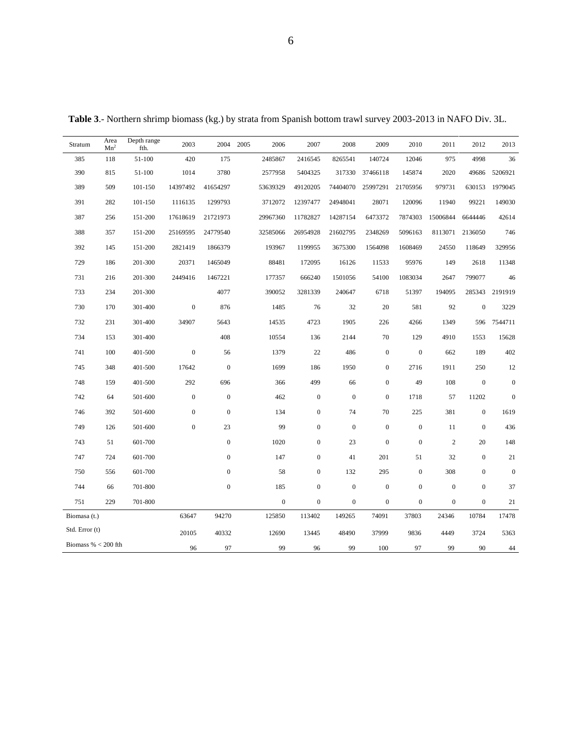| Stratum               | Area<br>Mn <sup>2</sup> | Depth range<br>fth. | 2003             |                  | 2004 2005 | 2006             | 2007             | 2008             | 2009             | 2010             | 2011             | 2012             | 2013             |
|-----------------------|-------------------------|---------------------|------------------|------------------|-----------|------------------|------------------|------------------|------------------|------------------|------------------|------------------|------------------|
| 385                   | 118                     | 51-100              | 420              | 175              |           | 2485867          | 2416545          | 8265541          | 140724           | 12046            | 975              | 4998             | 36               |
| 390                   | 815                     | 51-100              | 1014             | 3780             |           | 2577958          | 5404325          | 317330           | 37466118         | 145874           | 2020             | 49686            | 5206921          |
| 389                   | 509                     | 101-150             | 14397492         | 41654297         |           | 53639329         | 49120205         | 74404070         | 25997291         | 21705956         | 979731           | 630153           | 1979045          |
| 391                   | 282                     | 101-150             | 1116135          | 1299793          |           | 3712072          | 12397477         | 24948041         | 28071            | 120096           | 11940            | 99221            | 149030           |
| 387                   | 256                     | 151-200             | 17618619         | 21721973         |           | 29967360         | 11782827         | 14287154         | 6473372          | 7874303          | 15006844         | 6644446          | 42614            |
| 388                   | 357                     | 151-200             | 25169595         | 24779540         |           | 32585066         | 26954928         | 21602795         | 2348269          | 5096163          | 8113071          | 2136050          | 746              |
| 392                   | 145                     | 151-200             | 2821419          | 1866379          |           | 193967           | 1199955          | 3675300          | 1564098          | 1608469          | 24550            | 118649           | 329956           |
| 729                   | 186                     | 201-300             | 20371            | 1465049          |           | 88481            | 172095           | 16126            | 11533            | 95976            | 149              | 2618             | 11348            |
| 731                   | 216                     | 201-300             | 2449416          | 1467221          |           | 177357           | 666240           | 1501056          | 54100            | 1083034          | 2647             | 799077           | 46               |
| 733                   | 234                     | 201-300             |                  | 4077             |           | 390052           | 3281339          | 240647           | 6718             | 51397            | 194095           | 285343           | 2191919          |
| 730                   | 170                     | 301-400             | $\boldsymbol{0}$ | 876              |           | 1485             | 76               | 32               | 20               | 581              | 92               | $\mathbf{0}$     | 3229             |
| 732                   | 231                     | 301-400             | 34907            | 5643             |           | 14535            | 4723             | 1905             | 226              | 4266             | 1349             | 596              | 7544711          |
| 734                   | 153                     | 301-400             |                  | 408              |           | 10554            | 136              | 2144             | 70               | 129              | 4910             | 1553             | 15628            |
| 741                   | 100                     | 401-500             | $\boldsymbol{0}$ | 56               |           | 1379             | 22               | 486              | $\boldsymbol{0}$ | $\boldsymbol{0}$ | 662              | 189              | 402              |
| 745                   | 348                     | 401-500             | 17642            | $\boldsymbol{0}$ |           | 1699             | 186              | 1950             | $\boldsymbol{0}$ | 2716             | 1911             | 250              | $12\,$           |
| 748                   | 159                     | 401-500             | 292              | 696              |           | 366              | 499              | 66               | $\boldsymbol{0}$ | 49               | 108              | $\boldsymbol{0}$ | $\boldsymbol{0}$ |
| 742                   | 64                      | 501-600             | $\boldsymbol{0}$ | $\mathbf{0}$     |           | 462              | $\boldsymbol{0}$ | $\boldsymbol{0}$ | $\mathbf{0}$     | 1718             | 57               | 11202            | $\mathbf{0}$     |
| 746                   | 392                     | 501-600             | $\boldsymbol{0}$ | $\theta$         |           | 134              | $\boldsymbol{0}$ | 74               | 70               | 225              | 381              | $\mathbf{0}$     | 1619             |
| 749                   | 126                     | 501-600             | $\boldsymbol{0}$ | 23               |           | 99               | $\boldsymbol{0}$ | $\boldsymbol{0}$ | $\boldsymbol{0}$ | $\boldsymbol{0}$ | 11               | $\boldsymbol{0}$ | 436              |
| 743                   | 51                      | 601-700             |                  | $\boldsymbol{0}$ |           | 1020             | $\boldsymbol{0}$ | 23               | $\boldsymbol{0}$ | $\boldsymbol{0}$ | $\sqrt{2}$       | 20               | 148              |
| 747                   | 724                     | 601-700             |                  | $\boldsymbol{0}$ |           | 147              | $\boldsymbol{0}$ | 41               | 201              | 51               | 32               | $\boldsymbol{0}$ | $21\,$           |
| 750                   | 556                     | 601-700             |                  | $\boldsymbol{0}$ |           | 58               | $\boldsymbol{0}$ | 132              | 295              | $\boldsymbol{0}$ | 308              | $\boldsymbol{0}$ | $\boldsymbol{0}$ |
| 744                   | 66                      | 701-800             |                  | $\boldsymbol{0}$ |           | 185              | $\boldsymbol{0}$ | $\boldsymbol{0}$ | $\boldsymbol{0}$ | $\mathbf{0}$     | $\boldsymbol{0}$ | $\boldsymbol{0}$ | 37               |
| 751                   | 229                     | 701-800             |                  |                  |           | $\boldsymbol{0}$ | $\boldsymbol{0}$ | $\boldsymbol{0}$ | $\boldsymbol{0}$ | $\mathbf{0}$     | $\boldsymbol{0}$ | $\mathbf{0}$     | 21               |
| Biomasa (t.)          |                         |                     | 63647            | 94270            |           | 125850           | 113402           | 149265           | 74091            | 37803            | 24346            | 10784            | 17478            |
| Std. Error (t)        |                         |                     | 20105            | 40332            |           | 12690            | 13445            | 48490            | 37999            | 9836             | 4449             | 3724             | 5363             |
| Biomass % $<$ 200 fth |                         |                     | 96               | 97               |           | 99               | 96               | 99               | 100              | 97               | 99               | 90               | $44\,$           |

**Table 3**.- Northern shrimp biomass (kg.) by strata from Spanish bottom trawl survey 2003-2013 in NAFO Div. 3L.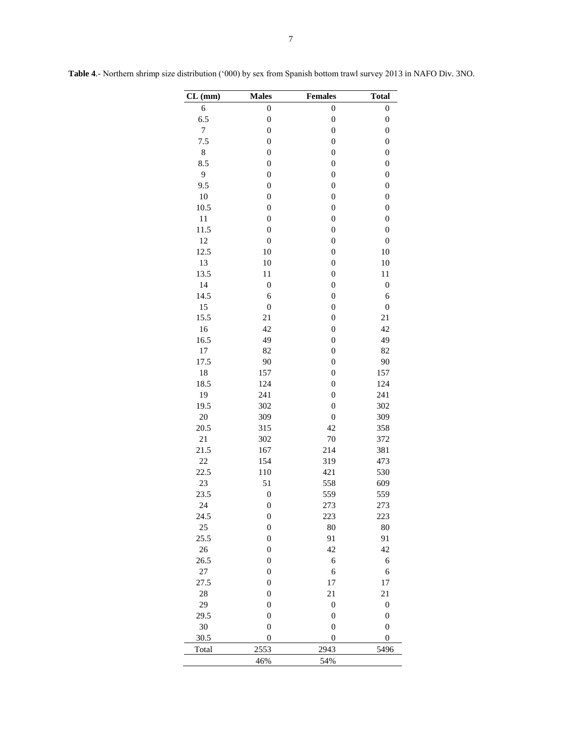| $CL$ (mm)      | <b>Males</b>     | <b>Females</b>   | <b>Total</b>     |
|----------------|------------------|------------------|------------------|
| 6              | $\boldsymbol{0}$ | $\boldsymbol{0}$ | $\boldsymbol{0}$ |
| 6.5            | $\boldsymbol{0}$ | $\boldsymbol{0}$ | $\boldsymbol{0}$ |
| $\overline{7}$ | $\boldsymbol{0}$ | $\boldsymbol{0}$ | $\boldsymbol{0}$ |
| 7.5            | $\boldsymbol{0}$ | $\boldsymbol{0}$ | $\boldsymbol{0}$ |
| 8              | $\boldsymbol{0}$ | $\boldsymbol{0}$ | $\boldsymbol{0}$ |
| 8.5            | $\boldsymbol{0}$ | $\boldsymbol{0}$ | $\boldsymbol{0}$ |
| 9              | $\boldsymbol{0}$ | $\boldsymbol{0}$ | $\boldsymbol{0}$ |
| 9.5            | $\boldsymbol{0}$ | $\boldsymbol{0}$ | $\boldsymbol{0}$ |
| 10             | $\boldsymbol{0}$ | $\overline{0}$   | $\boldsymbol{0}$ |
| 10.5           | $\boldsymbol{0}$ | $\boldsymbol{0}$ | $\boldsymbol{0}$ |
| 11             | $\boldsymbol{0}$ | $\boldsymbol{0}$ | $\boldsymbol{0}$ |
| 11.5           | $\boldsymbol{0}$ | $\boldsymbol{0}$ | $\boldsymbol{0}$ |
| 12             | $\boldsymbol{0}$ | $\boldsymbol{0}$ | $\boldsymbol{0}$ |
| 12.5           | 10               | $\boldsymbol{0}$ | 10               |
| 13             | 10               | $\boldsymbol{0}$ | 10               |
| 13.5           | 11               | $\boldsymbol{0}$ | 11               |
| 14             | $\boldsymbol{0}$ | $\boldsymbol{0}$ | $\boldsymbol{0}$ |
| 14.5           | 6                | $\boldsymbol{0}$ | 6                |
| 15             | $\boldsymbol{0}$ | $\mathbf{0}$     | $\boldsymbol{0}$ |
| 15.5           | 21               | $\boldsymbol{0}$ | 21               |
| 16             | 42               | $\boldsymbol{0}$ | 42               |
| 16.5           | 49               | $\boldsymbol{0}$ | 49               |
| 17             | 82               | $\boldsymbol{0}$ | 82               |
| 17.5           | 90               | $\boldsymbol{0}$ | 90               |
| 18             | 157              | $\boldsymbol{0}$ | 157              |
| 18.5           | 124              | $\boldsymbol{0}$ | 124              |
| 19             | 241              | $\boldsymbol{0}$ | 241              |
| 19.5           | 302              | $\boldsymbol{0}$ | 302              |
| 20             | 309              | $\boldsymbol{0}$ | 309              |
| 20.5           | 315              | 42               | 358              |
| 21             | 302              | 70               | 372              |
| 21.5           | 167              | 214              | 381              |
| 22             | 154              | 319              | 473              |
| 22.5           | 110              | 421              | 530              |
| 23             | 51               | 558              | 609              |
| 23.5           | $\boldsymbol{0}$ | 559              | 559              |
| 24             | $\boldsymbol{0}$ | 273              | 273              |
| 24.5           | $\boldsymbol{0}$ | 223              | 223              |
| 25             | $\boldsymbol{0}$ | 80               | 80               |
| 25.5           | $\boldsymbol{0}$ | 91               | 91               |
| $26\,$         | $\boldsymbol{0}$ | 42               | 42               |
| 26.5           | $\boldsymbol{0}$ | 6                | 6                |
| $27\,$         | $\boldsymbol{0}$ | 6                | 6                |
| 27.5           | $\boldsymbol{0}$ | 17               | 17               |
| 28             | $\boldsymbol{0}$ | 21               | 21               |
| 29             | $\boldsymbol{0}$ | $\boldsymbol{0}$ | $\boldsymbol{0}$ |
| 29.5           | $\boldsymbol{0}$ | $\boldsymbol{0}$ | $\boldsymbol{0}$ |
| 30             | $\boldsymbol{0}$ | $\boldsymbol{0}$ | $\boldsymbol{0}$ |
| 30.5           | $\boldsymbol{0}$ | $\boldsymbol{0}$ | $\boldsymbol{0}$ |
| Total          | 2553             | 2943             | 5496             |
|                | 46%              | 54%              |                  |

**Table 4**.- Northern shrimp size distribution ('000) by sex from Spanish bottom trawl survey 2013 in NAFO Div. 3NO.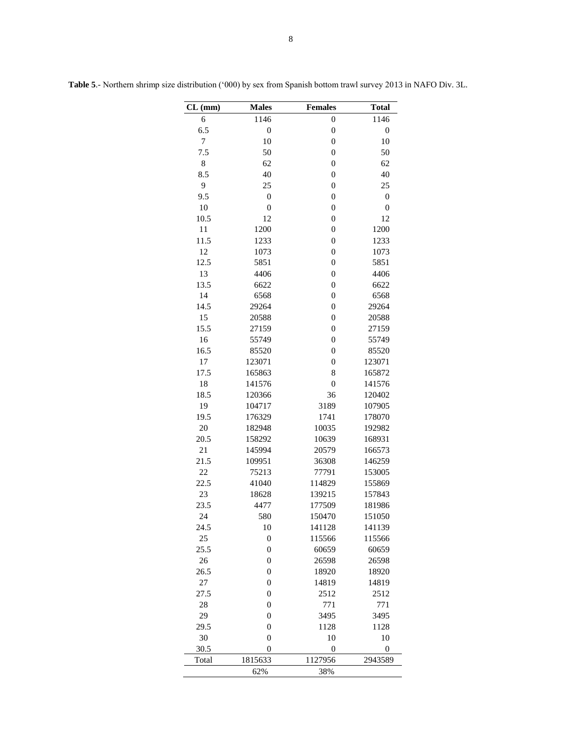| CL (mm)    | <b>Males</b>     | <b>Females</b>   | <b>Total</b>     |
|------------|------------------|------------------|------------------|
| 6          | 1146             | $\mathbf{0}$     | 1146             |
| 6.5        | $\boldsymbol{0}$ | $\mathbf{0}$     | $\boldsymbol{0}$ |
| $\tau$     | 10               | $\mathbf{0}$     | 10               |
| 7.5        | 50               | $\mathbf{0}$     | 50               |
| 8          | 62               | $\overline{0}$   | 62               |
| 8.5        | 40               | $\mathbf{0}$     | 40               |
| 9          | 25               | $\mathbf{0}$     | 25               |
| 9.5        | $\boldsymbol{0}$ | $\mathbf{0}$     | $\boldsymbol{0}$ |
| 10         | $\mathbf{0}$     | $\mathbf{0}$     | $\boldsymbol{0}$ |
| 10.5       | 12               | $\mathbf{0}$     | 12               |
| 11         | 1200             | $\overline{0}$   | 1200             |
| 11.5       | 1233             | $\overline{0}$   | 1233             |
| 12         | 1073             | $\overline{0}$   | 1073             |
| 12.5       | 5851             | $\mathbf{0}$     | 5851             |
| 13         | 4406             | $\mathbf{0}$     | 4406             |
| 13.5       | 6622             | $\boldsymbol{0}$ | 6622             |
| 14         | 6568             | $\overline{0}$   | 6568             |
| 14.5       | 29264            | $\boldsymbol{0}$ | 29264            |
| 15         | 20588            | $\overline{0}$   | 20588            |
| 15.5       | 27159            | $\overline{0}$   | 27159            |
| 16         | 55749            | $\mathbf{0}$     | 55749            |
| 16.5       | 85520            | $\mathbf{0}$     | 85520            |
| 17         | 123071           | $\mathbf{0}$     | 123071           |
| 17.5       | 165863           | 8                | 165872           |
| 18         | 141576           | $\overline{0}$   | 141576           |
| 18.5       | 120366           | 36               | 120402           |
| 19         | 104717           | 3189             | 107905           |
| 19.5       | 176329           | 1741             | 178070           |
| 20         | 182948           | 10035            | 192982           |
| 20.5       | 158292           |                  |                  |
| 21         |                  | 10639            | 168931           |
|            | 145994           | 20579            | 166573           |
| 21.5       | 109951           | 36308            | 146259<br>153005 |
| 22         | 75213            | 77791            |                  |
| 22.5<br>23 | 41040            | 114829<br>139215 | 155869<br>157843 |
| 23.5       | 18628<br>4477    |                  |                  |
|            |                  | 177509           | 181986           |
| 24         | 580              | 150470           | 151050           |
| 24.5       | 10               | 141128           | 141139           |
| 25         | $\boldsymbol{0}$ | 115566           | 115566           |
| 25.5       | $\mathbf{0}$     | 60659            | 60659            |
| 26         | $\mathbf{0}$     | 26598            | 26598            |
| 26.5       | $\mathbf{0}$     | 18920            | 18920            |
| 27         | $\mathbf{0}$     | 14819            | 14819            |
| 27.5       | $\mathbf{0}$     | 2512             | 2512             |
| 28         | $\mathbf{0}$     | 771              | 771              |
| 29         | $\mathbf{0}$     | 3495             | 3495             |
| 29.5       | $\mathbf{0}$     | 1128             | 1128             |
| 30         | $\mathbf{0}$     | 10               | 10               |
| 30.5       | $\mathbf{0}$     | $\mathbf{0}$     | $\mathbf{0}$     |
| Total      | 1815633          | 1127956          | 2943589          |
|            | 62%              | 38%              |                  |

**Table 5**.- Northern shrimp size distribution ('000) by sex from Spanish bottom trawl survey 2013 in NAFO Div. 3L.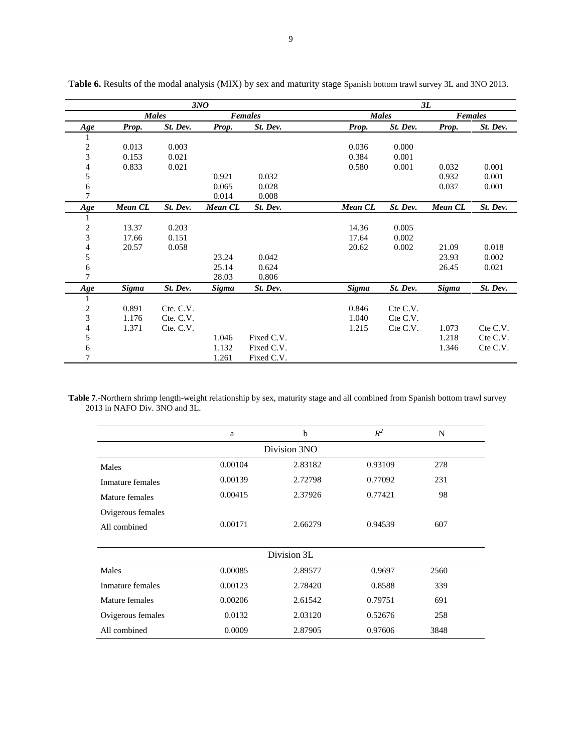|                             |              |              | 3NO            |            | 3L           |          |                |          |  |  |  |
|-----------------------------|--------------|--------------|----------------|------------|--------------|----------|----------------|----------|--|--|--|
|                             |              | <b>Males</b> |                | Females    | <b>Males</b> |          | <b>Females</b> |          |  |  |  |
| Age                         | Prop.        | St. Dev.     | Prop.          | St. Dev.   | Prop.        | St. Dev. | Prop.          | St. Dev. |  |  |  |
|                             |              |              |                |            |              |          |                |          |  |  |  |
| $\overline{c}$              | 0.013        | 0.003        |                |            | 0.036        | 0.000    |                |          |  |  |  |
| 3                           | 0.153        | 0.021        |                |            | 0.384        | 0.001    |                |          |  |  |  |
| 4                           | 0.833        | 0.021        |                |            | 0.580        | 0.001    | 0.032          | 0.001    |  |  |  |
| 5                           |              |              | 0.921          | 0.032      |              |          | 0.932          | 0.001    |  |  |  |
| 6                           |              |              | 0.065          | 0.028      |              |          | 0.037          | 0.001    |  |  |  |
| $\overline{7}$              |              |              | 0.014          | 0.008      |              |          |                |          |  |  |  |
| Age                         | Mean CL      | St. Dev.     | <b>Mean CL</b> | St. Dev.   | Mean CL      | St. Dev. | <b>Mean CL</b> | St. Dev. |  |  |  |
| 1                           |              |              |                |            |              |          |                |          |  |  |  |
| $\overline{c}$              | 13.37        | 0.203        |                |            | 14.36        | 0.005    |                |          |  |  |  |
| 3                           | 17.66        | 0.151        |                |            | 17.64        | 0.002    |                |          |  |  |  |
| 4                           | 20.57        | 0.058        |                |            | 20.62        | 0.002    | 21.09          | 0.018    |  |  |  |
| 5                           |              |              | 23.24          | 0.042      |              |          | 23.93          | 0.002    |  |  |  |
| $\sqrt{6}$                  |              |              | 25.14          | 0.624      |              |          | 26.45          | 0.021    |  |  |  |
| $\overline{7}$              |              |              | 28.03          | 0.806      |              |          |                |          |  |  |  |
| Age                         | <b>Sigma</b> | St. Dev.     | <b>Sigma</b>   | St. Dev.   | <b>Sigma</b> | St. Dev. | <b>Sigma</b>   | St. Dev. |  |  |  |
|                             |              |              |                |            |              |          |                |          |  |  |  |
| $\overline{c}$              | 0.891        | Cte. C.V.    |                |            | 0.846        | Cte C.V. |                |          |  |  |  |
| $\ensuremath{\mathfrak{Z}}$ | 1.176        | Cte. C.V.    |                |            | 1.040        | Cte C.V. |                |          |  |  |  |
| 4                           | 1.371        | Cte. C.V.    |                |            | 1.215        | Cte C.V. | 1.073          | Cte C.V. |  |  |  |
| 5                           |              |              | 1.046          | Fixed C.V. |              |          | 1.218          | Cte C.V. |  |  |  |
| 6                           |              |              | 1.132          | Fixed C.V. |              |          | 1.346          | Cte C.V. |  |  |  |
| $\overline{7}$              |              |              | 1.261          | Fixed C.V. |              |          |                |          |  |  |  |

Table 6. Results of the modal analysis (MIX) by sex and maturity stage Spanish bottom trawl survey 3L and 3NO 2013.

**Table 7**.-Northern shrimp length-weight relationship by sex, maturity stage and all combined from Spanish bottom trawl survey 2013 in NAFO Div. 3NO and 3L.

|                   | a       | b           | $R^2$   | N    |  |  |  |  |  |
|-------------------|---------|-------------|---------|------|--|--|--|--|--|
| Division 3NO      |         |             |         |      |  |  |  |  |  |
| Males             | 0.00104 | 2.83182     | 0.93109 | 278  |  |  |  |  |  |
| Inmature females  | 0.00139 | 2.72798     | 0.77092 | 231  |  |  |  |  |  |
| Mature females    | 0.00415 | 2.37926     | 0.77421 | 98   |  |  |  |  |  |
| Ovigerous females |         |             |         |      |  |  |  |  |  |
| All combined      | 0.00171 | 2.66279     | 0.94539 | 607  |  |  |  |  |  |
|                   |         |             |         |      |  |  |  |  |  |
|                   |         | Division 3L |         |      |  |  |  |  |  |
| Males             | 0.00085 | 2.89577     | 0.9697  | 2560 |  |  |  |  |  |
| Inmature females  | 0.00123 | 2.78420     | 0.8588  | 339  |  |  |  |  |  |
| Mature females    | 0.00206 | 2.61542     | 0.79751 | 691  |  |  |  |  |  |
| Ovigerous females | 0.0132  | 2.03120     | 0.52676 | 258  |  |  |  |  |  |
| All combined      | 0.0009  | 2.87905     | 0.97606 | 3848 |  |  |  |  |  |
|                   |         |             |         |      |  |  |  |  |  |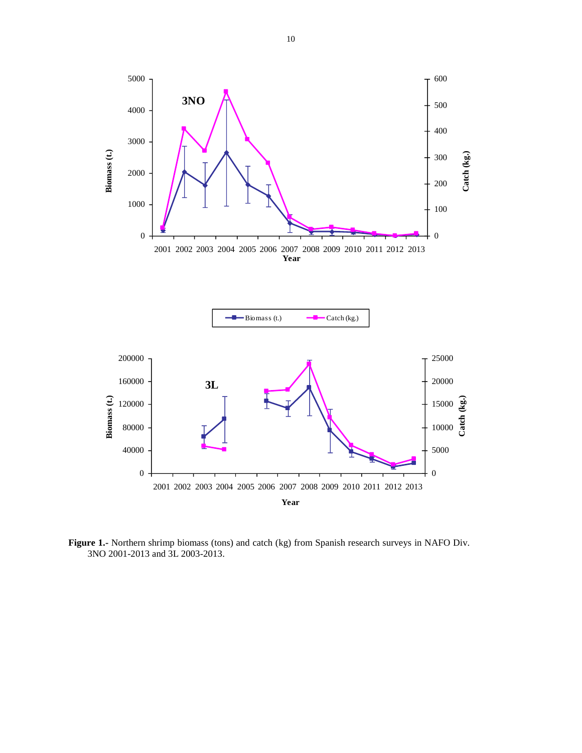

**Figure 1.-** Northern shrimp biomass (tons) and catch (kg) from Spanish research surveys in NAFO Div. 3NO 2001-2013 and 3L 2003-2013.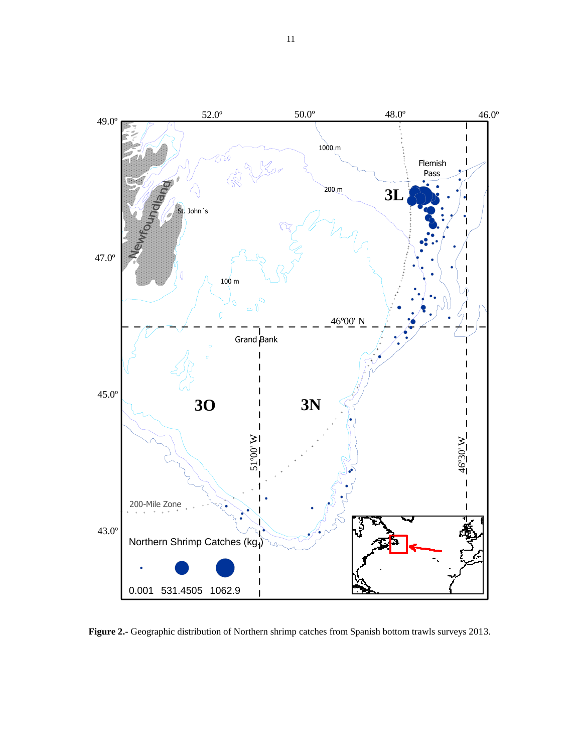

**Figure 2.-** Geographic distribution of Northern shrimp catches from Spanish bottom trawls surveys 2013.